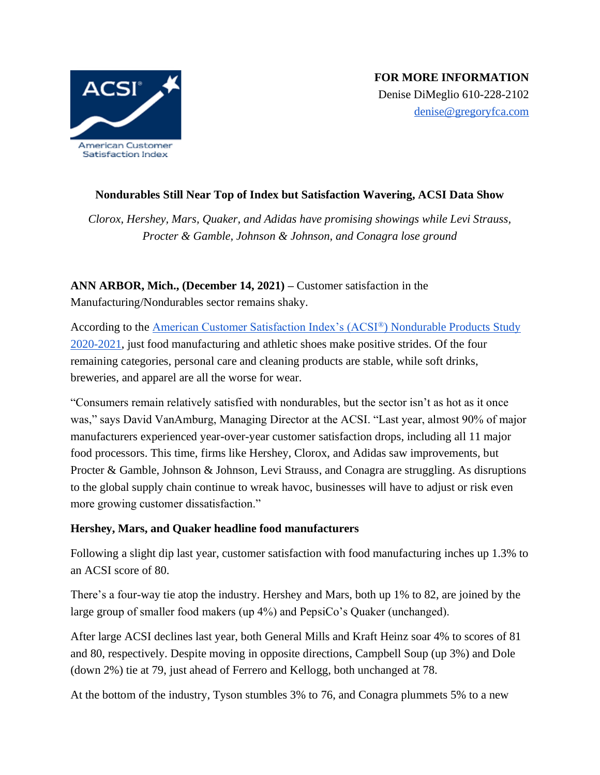

## **Nondurables Still Near Top of Index but Satisfaction Wavering, ACSI Data Show**

*Clorox, Hershey, Mars, Quaker, and Adidas have promising showings while Levi Strauss, Procter & Gamble, Johnson & Johnson, and Conagra lose ground* 

# **ANN ARBOR, Mich., (December 14, 2021) –** Customer satisfaction in the Manufacturing/Nondurables sector remains shaky.

According to the [American Customer Satisfaction Index's \(ACSI](https://www.theacsi.org/news-and-resources/customer-satisfaction-reports/reports-2021/acsi-nondurable-products-study-2020-2021)[®](https://www.theacsi.org/news-and-resources/customer-satisfaction-reports/reports-2021/acsi-nondurable-products-study-2020-2021)[\) Nondurable Products Study](https://www.theacsi.org/news-and-resources/customer-satisfaction-reports/reports-2021/acsi-nondurable-products-study-2020-2021)  [2020-2021,](https://www.theacsi.org/news-and-resources/customer-satisfaction-reports/reports-2021/acsi-nondurable-products-study-2020-2021) just food manufacturing and athletic shoes make positive strides. Of the four remaining categories, personal care and cleaning products are stable, while soft drinks, breweries, and apparel are all the worse for wear.

"Consumers remain relatively satisfied with nondurables, but the sector isn't as hot as it once was," says David VanAmburg, Managing Director at the ACSI. "Last year, almost 90% of major manufacturers experienced year-over-year customer satisfaction drops, including all 11 major food processors. This time, firms like Hershey, Clorox, and Adidas saw improvements, but Procter & Gamble, Johnson & Johnson, Levi Strauss, and Conagra are struggling. As disruptions to the global supply chain continue to wreak havoc, businesses will have to adjust or risk even more growing customer dissatisfaction."

### **Hershey, Mars, and Quaker headline food manufacturers**

Following a slight dip last year, customer satisfaction with food manufacturing inches up 1.3% to an ACSI score of 80.

There's a four-way tie atop the industry. Hershey and Mars, both up 1% to 82, are joined by the large group of smaller food makers (up 4%) and PepsiCo's Quaker (unchanged).

After large ACSI declines last year, both General Mills and Kraft Heinz soar 4% to scores of 81 and 80, respectively. Despite moving in opposite directions, Campbell Soup (up 3%) and Dole (down 2%) tie at 79, just ahead of Ferrero and Kellogg, both unchanged at 78.

At the bottom of the industry, Tyson stumbles 3% to 76, and Conagra plummets 5% to a new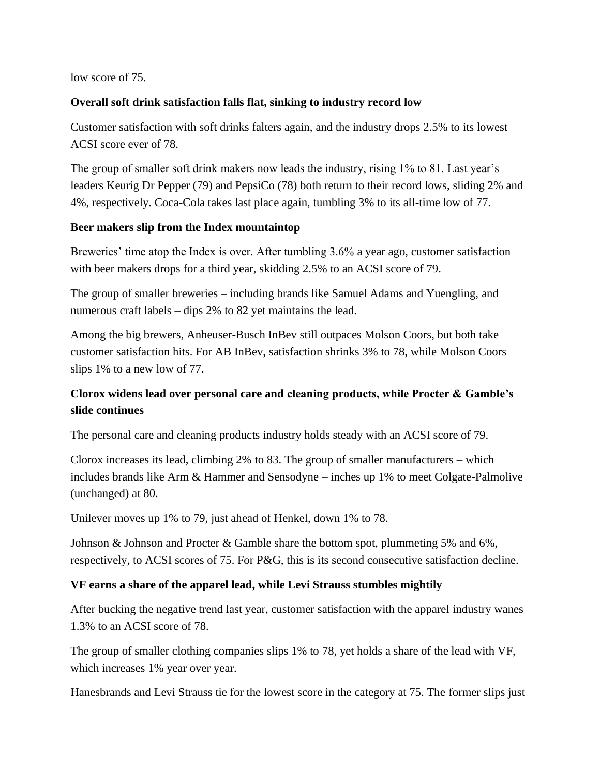low score of 75.

#### **Overall soft drink satisfaction falls flat, sinking to industry record low**

Customer satisfaction with soft drinks falters again, and the industry drops 2.5% to its lowest ACSI score ever of 78.

The group of smaller soft drink makers now leads the industry, rising 1% to 81. Last year's leaders Keurig Dr Pepper (79) and PepsiCo (78) both return to their record lows, sliding 2% and 4%, respectively. Coca-Cola takes last place again, tumbling 3% to its all-time low of 77.

#### **Beer makers slip from the Index mountaintop**

Breweries' time atop the Index is over. After tumbling 3.6% a year ago, customer satisfaction with beer makers drops for a third year, skidding 2.5% to an ACSI score of 79.

The group of smaller breweries – including brands like Samuel Adams and Yuengling, and numerous craft labels – dips 2% to 82 yet maintains the lead.

Among the big brewers, Anheuser-Busch InBev still outpaces Molson Coors, but both take customer satisfaction hits. For AB InBev, satisfaction shrinks 3% to 78, while Molson Coors slips 1% to a new low of 77.

# **Clorox widens lead over personal care and cleaning products, while Procter & Gamble's slide continues**

The personal care and cleaning products industry holds steady with an ACSI score of 79.

Clorox increases its lead, climbing 2% to 83. The group of smaller manufacturers – which includes brands like Arm & Hammer and Sensodyne – inches up 1% to meet Colgate-Palmolive (unchanged) at 80.

Unilever moves up 1% to 79, just ahead of Henkel, down 1% to 78.

Johnson & Johnson and Procter & Gamble share the bottom spot, plummeting 5% and 6%, respectively, to ACSI scores of 75. For P&G, this is its second consecutive satisfaction decline.

### **VF earns a share of the apparel lead, while Levi Strauss stumbles mightily**

After bucking the negative trend last year, customer satisfaction with the apparel industry wanes 1.3% to an ACSI score of 78.

The group of smaller clothing companies slips 1% to 78, yet holds a share of the lead with VF, which increases 1% year over year.

Hanesbrands and Levi Strauss tie for the lowest score in the category at 75. The former slips just